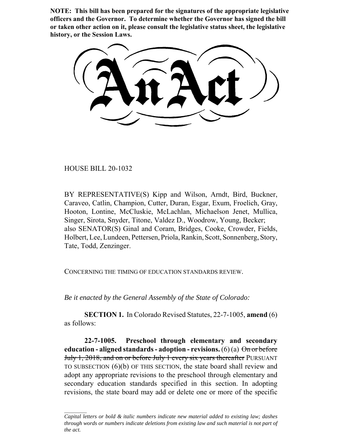**NOTE: This bill has been prepared for the signatures of the appropriate legislative officers and the Governor. To determine whether the Governor has signed the bill or taken other action on it, please consult the legislative status sheet, the legislative history, or the Session Laws.**

HOUSE BILL 20-1032

BY REPRESENTATIVE(S) Kipp and Wilson, Arndt, Bird, Buckner, Caraveo, Catlin, Champion, Cutter, Duran, Esgar, Exum, Froelich, Gray, Hooton, Lontine, McCluskie, McLachlan, Michaelson Jenet, Mullica, Singer, Sirota, Snyder, Titone, Valdez D., Woodrow, Young, Becker; also SENATOR(S) Ginal and Coram, Bridges, Cooke, Crowder, Fields, Holbert, Lee, Lundeen, Pettersen, Priola, Rankin, Scott, Sonnenberg, Story, Tate, Todd, Zenzinger.

CONCERNING THE TIMING OF EDUCATION STANDARDS REVIEW.

*Be it enacted by the General Assembly of the State of Colorado:*

**SECTION 1.** In Colorado Revised Statutes, 22-7-1005, **amend** (6) as follows:

**22-7-1005. Preschool through elementary and secondary education - aligned standards - adoption - revisions.** (6) (a)  $\Theta$  or before July 1, 2018, and on or before July 1 every six years thereafter PURSUANT TO SUBSECTION (6)(b) OF THIS SECTION, the state board shall review and adopt any appropriate revisions to the preschool through elementary and secondary education standards specified in this section. In adopting revisions, the state board may add or delete one or more of the specific

*Capital letters or bold & italic numbers indicate new material added to existing law; dashes through words or numbers indicate deletions from existing law and such material is not part of the act.*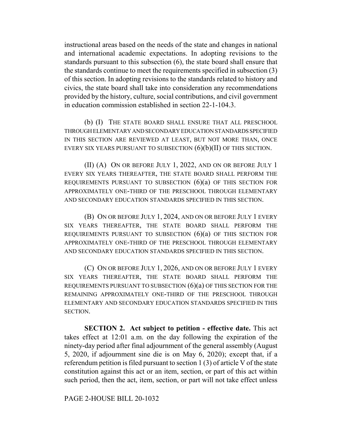instructional areas based on the needs of the state and changes in national and international academic expectations. In adopting revisions to the standards pursuant to this subsection (6), the state board shall ensure that the standards continue to meet the requirements specified in subsection (3) of this section. In adopting revisions to the standards related to history and civics, the state board shall take into consideration any recommendations provided by the history, culture, social contributions, and civil government in education commission established in section 22-1-104.3.

(b) (I) THE STATE BOARD SHALL ENSURE THAT ALL PRESCHOOL THROUGH ELEMENTARY AND SECONDARY EDUCATION STANDARDS SPECIFIED IN THIS SECTION ARE REVIEWED AT LEAST, BUT NOT MORE THAN, ONCE EVERY SIX YEARS PURSUANT TO SUBSECTION  $(6)(b)(II)$  OF THIS SECTION.

(II) (A) ON OR BEFORE JULY 1, 2022, AND ON OR BEFORE JULY 1 EVERY SIX YEARS THEREAFTER, THE STATE BOARD SHALL PERFORM THE REQUIREMENTS PURSUANT TO SUBSECTION (6)(a) OF THIS SECTION FOR APPROXIMATELY ONE-THIRD OF THE PRESCHOOL THROUGH ELEMENTARY AND SECONDARY EDUCATION STANDARDS SPECIFIED IN THIS SECTION.

(B) ON OR BEFORE JULY 1, 2024, AND ON OR BEFORE JULY 1 EVERY SIX YEARS THEREAFTER, THE STATE BOARD SHALL PERFORM THE REQUIREMENTS PURSUANT TO SUBSECTION (6)(a) OF THIS SECTION FOR APPROXIMATELY ONE-THIRD OF THE PRESCHOOL THROUGH ELEMENTARY AND SECONDARY EDUCATION STANDARDS SPECIFIED IN THIS SECTION.

(C) ON OR BEFORE JULY 1, 2026, AND ON OR BEFORE JULY 1 EVERY SIX YEARS THEREAFTER, THE STATE BOARD SHALL PERFORM THE REQUIREMENTS PURSUANT TO SUBSECTION  $(6)(a)$  OF THIS SECTION FOR THE REMAINING APPROXIMATELY ONE-THIRD OF THE PRESCHOOL THROUGH ELEMENTARY AND SECONDARY EDUCATION STANDARDS SPECIFIED IN THIS SECTION.

**SECTION 2. Act subject to petition - effective date.** This act takes effect at 12:01 a.m. on the day following the expiration of the ninety-day period after final adjournment of the general assembly (August 5, 2020, if adjournment sine die is on May 6, 2020); except that, if a referendum petition is filed pursuant to section 1 (3) of article V of the state constitution against this act or an item, section, or part of this act within such period, then the act, item, section, or part will not take effect unless

PAGE 2-HOUSE BILL 20-1032